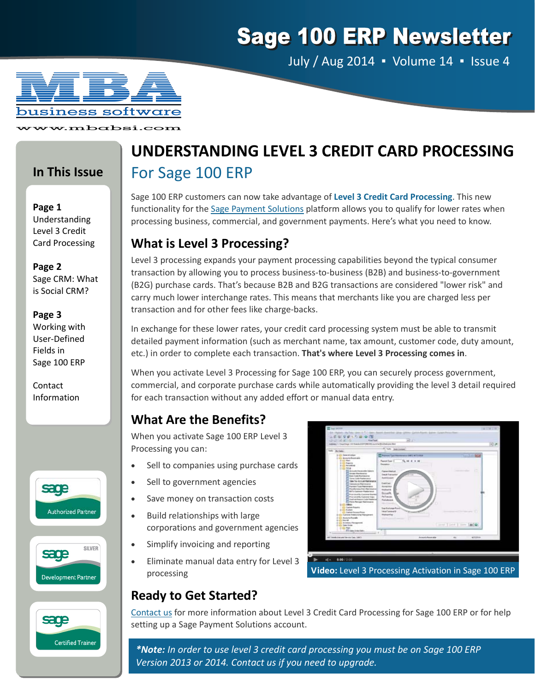# **Sage 100 ERP Newsletter**

July / Aug 2014 ▪ Volume 14 ▪ Issue 4



ww.mbabsi.com

#### **In This Issue**

**Page 1** Understanding Level 3 Credit Card Processing

#### **Page 2** Sage CRM: What is Social CRM?

**Page 3**

Working with User‐Defined Fields in Sage 100 ERP

**Contact** Information







### **UNDERSTANDING LEVEL 3 CREDIT CARD PROCESSING** For Sage 100 ERP

Sage 100 ERP customers can now take advantage of **Level 3 Credit Card Processing**. This new functionality for the Sage Payment [Solutions](http://na.sage.com/us/sage-payment-solutions) platform allows you to qualify for lower rates when processing business, commercial, and government payments. Here's what you need to know.

#### **What is Level 3 Processing?**

Level 3 processing expands your payment processing capabilities beyond the typical consumer transaction by allowing you to process business‐to‐business (B2B) and business‐to‐government (B2G) purchase cards. That's because B2B and B2G transactions are considered "lower risk" and carry much lower interchange rates. This means that merchants like you are charged less per transaction and for other fees like charge‐backs.

In exchange for these lower rates, your credit card processing system must be able to transmit detailed payment information (such as merchant name, tax amount, customer code, duty amount, etc.) in order to complete each transaction. **That's where Level 3 Processing comes in**.

When you activate Level 3 Processing for Sage 100 ERP, you can securely process government, commercial, and corporate purchase cards while automatically providing the level 3 detail required for each transaction without any added effort or manual data entry.

### **What Are the Benefits?**

When you activate Sage 100 ERP Level 3 Processing you can:

- Sell to companies using purchase cards
- Sell to government agencies
- Save money on transaction costs
- Build relationships with large corporations and government agencies
- Simplify invoicing and reporting
- Eliminate manual data entry for Level 3 processing



### **Ready to Get Started?**

[Contact](mailto:Info@mbabsi.com?subject=Sage%20100%20ERP%20Level%203%20Credit%20Card%20Processing) us for more information about Level 3 Credit Card Processing for Sage 100 ERP or for help setting up a Sage Payment Solutions account.

*\*Note: In order to use level 3 credit card processing you must be on Sage 100 ERP Version 2013 or 2014. [Contact](mailto:info@mbabsi.com?subject=Sage%20100%20ERP%20Upgrade) us if you need to upgrade.*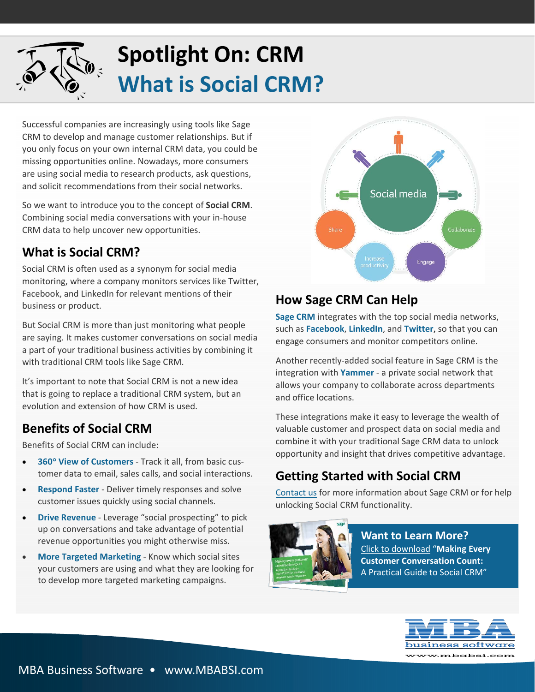

# **Spotlight On: CRM What is Social CRM?**

Successful companies are increasingly using tools like Sage CRM to develop and manage customer relationships. But if you only focus on your own internal CRM data, you could be missing opportunities online. Nowadays, more consumers are using social media to research products, ask questions, and solicit recommendations from their social networks.

So we want to introduce you to the concept of **Social CRM**. Combining social media conversations with your in‐house CRM data to help uncover new opportunities.

#### **What is Social CRM?**

Social CRM is often used as a synonym for social media monitoring, where a company monitors services like Twitter, Facebook, and LinkedIn for relevant mentions of their business or product.

But Social CRM is more than just monitoring what people are saying. It makes customer conversations on social media a part of your traditional business activities by combining it with traditional CRM tools like Sage CRM.

It's important to note that Social CRM is not a new idea that is going to replace a traditional CRM system, but an evolution and extension of how CRM is used.

#### **Benefits of Social CRM**

Benefits of Social CRM can include:

- **360**° **View of Customers** ‐ Track it all, from basic cus‐ tomer data to email, sales calls, and social interactions.
- **Respond Faster** ‐ Deliver timely responses and solve customer issues quickly using social channels.
- **Drive Revenue** ‐ Leverage "social prospecting" to pick up on conversations and take advantage of potential revenue opportunities you might otherwise miss.
- **More Targeted Marketing** ‐ Know which social sites your customers are using and what they are looking for to develop more targeted marketing campaigns.



### **How Sage CRM Can Help**

**Sage CRM** integrates with the top social media networks, such as **Facebook**, **LinkedIn**, and **Twitter**, so that you can engage consumers and monitor competitors online.

Another recently‐added social feature in Sage CRM is the integration with **Yammer** ‐ a private social network that allows your company to collaborate across departments and office locations.

These integrations make it easy to leverage the wealth of valuable customer and prospect data on social media and combine it with your traditional Sage CRM data to unlock opportunity and insight that drives competitive advantage.

### **Getting Started with Social CRM**

[Contact](mailto:Info@mbabsi.com?subject=Getting%20Started%20with%20Social%20CRM) us for more information about Sage CRM or for help unlocking Social CRM functionality.



**Want to Learn More?** Click to download "**Making Every Customer [Conversati](http://www.sagecrm.com/resources/downloads/pubData/source/Social-CRM-whitepaper-v1.5.pdf)on Count:** A Practical Guide to Social CRM"